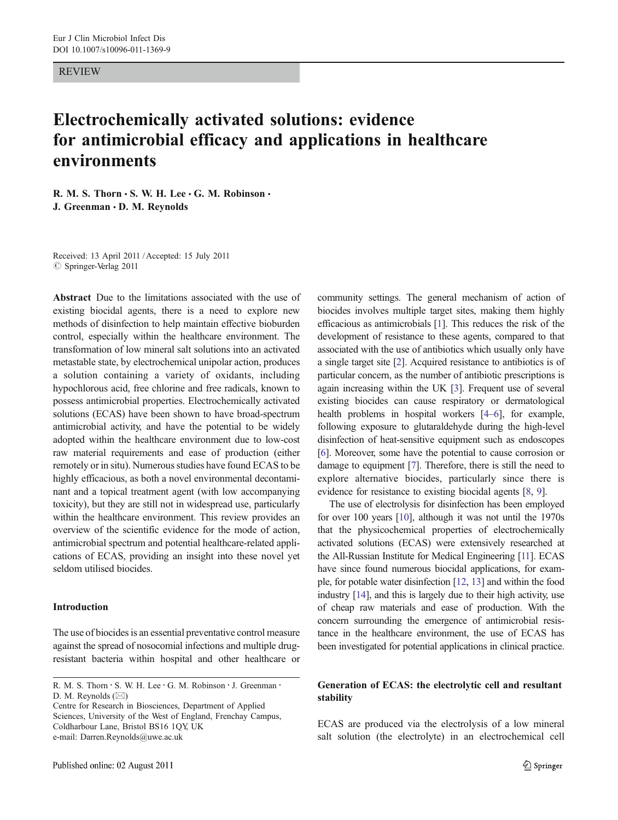#### REVIEW

# Electrochemically activated solutions: evidence for antimicrobial efficacy and applications in healthcare environments

R. M. S. Thorn  $\cdot$  S. W. H. Lee  $\cdot$  G. M. Robinson  $\cdot$ J. Greenman · D. M. Reynolds

Received: 13 April 2011 /Accepted: 15 July 2011  $©$  Springer-Verlag 2011

Abstract Due to the limitations associated with the use of existing biocidal agents, there is a need to explore new methods of disinfection to help maintain effective bioburden control, especially within the healthcare environment. The transformation of low mineral salt solutions into an activated metastable state, by electrochemical unipolar action, produces a solution containing a variety of oxidants, including hypochlorous acid, free chlorine and free radicals, known to possess antimicrobial properties. Electrochemically activated solutions (ECAS) have been shown to have broad-spectrum antimicrobial activity, and have the potential to be widely adopted within the healthcare environment due to low-cost raw material requirements and ease of production (either remotely or in situ). Numerous studies have found ECAS to be highly efficacious, as both a novel environmental decontaminant and a topical treatment agent (with low accompanying toxicity), but they are still not in widespread use, particularly within the healthcare environment. This review provides an overview of the scientific evidence for the mode of action, antimicrobial spectrum and potential healthcare-related applications of ECAS, providing an insight into these novel yet seldom utilised biocides.

#### Introduction

The use of biocides is an essential preventative control measure against the spread of nosocomial infections and multiple drugresistant bacteria within hospital and other healthcare or

R. M. S. Thorn · S. W. H. Lee · G. M. Robinson · J. Greenman · D. M. Reynolds  $(\boxtimes)$ 

Centre for Research in Biosciences, Department of Applied Sciences, University of the West of England, Frenchay Campus, Coldharbour Lane, Bristol BS16 1QY, UK e-mail: Darren.Reynolds@uwe.ac.uk

community settings. The general mechanism of action of biocides involves multiple target sites, making them highly efficacious as antimicrobials [\[1](#page-9-0)]. This reduces the risk of the development of resistance to these agents, compared to that associated with the use of antibiotics which usually only have a single target site [\[2\]](#page-9-0). Acquired resistance to antibiotics is of particular concern, as the number of antibiotic prescriptions is again increasing within the UK [[3](#page-9-0)]. Frequent use of several existing biocides can cause respiratory or dermatological health problems in hospital workers [\[4](#page-9-0)–[6\]](#page-9-0), for example, following exposure to glutaraldehyde during the high-level disinfection of heat-sensitive equipment such as endoscopes [\[6](#page-9-0)]. Moreover, some have the potential to cause corrosion or damage to equipment [\[7](#page-9-0)]. Therefore, there is still the need to explore alternative biocides, particularly since there is evidence for resistance to existing biocidal agents [\[8,](#page-9-0) [9](#page-9-0)].

The use of electrolysis for disinfection has been employed for over 100 years [[10](#page-9-0)], although it was not until the 1970s that the physicochemical properties of electrochemically activated solutions (ECAS) were extensively researched at the All-Russian Institute for Medical Engineering [\[11](#page-9-0)]. ECAS have since found numerous biocidal applications, for example, for potable water disinfection [[12](#page-9-0), [13\]](#page-9-0) and within the food industry [\[14\]](#page-9-0), and this is largely due to their high activity, use of cheap raw materials and ease of production. With the concern surrounding the emergence of antimicrobial resistance in the healthcare environment, the use of ECAS has been investigated for potential applications in clinical practice.

# Generation of ECAS: the electrolytic cell and resultant stability

ECAS are produced via the electrolysis of a low mineral salt solution (the electrolyte) in an electrochemical cell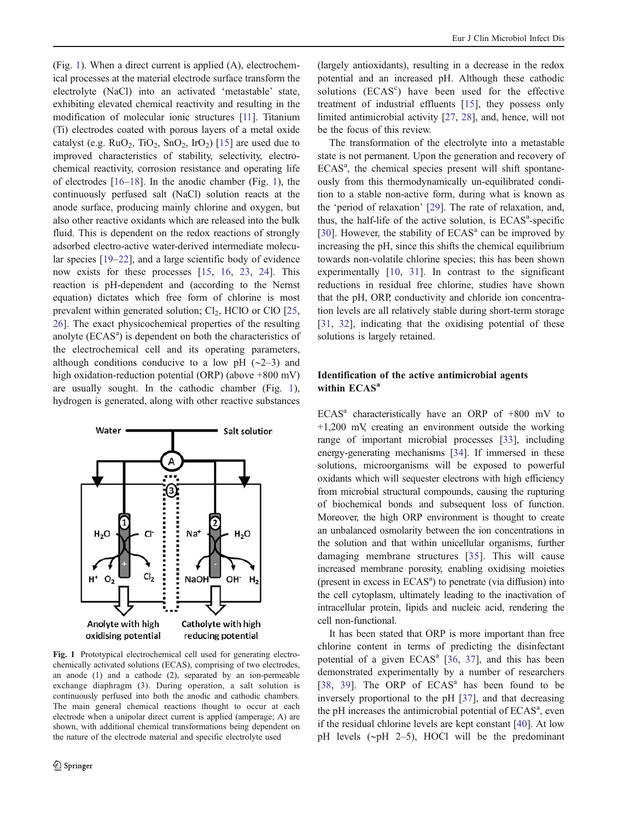<span id="page-1-0"></span>(Fig. 1). When a direct current is applied (A), electrochemical processes at the material electrode surface transform the electrolyte (NaCl) into an activated 'metastable' state, exhibiting elevated chemical reactivity and resulting in the modification of molecular ionic structures [[11](#page-9-0)]. Titanium (Ti) electrodes coated with porous layers of a metal oxide catalyst (e.g.  $RuO<sub>2</sub>$ , TiO<sub>2</sub>, SnO<sub>2</sub>, IrO<sub>2</sub>) [\[15](#page-9-0)] are used due to improved characteristics of stability, selectivity, electrochemical reactivity, corrosion resistance and operating life of electrodes [[16](#page-9-0)–[18\]](#page-9-0). In the anodic chamber (Fig. 1), the continuously perfused salt (NaCl) solution reacts at the anode surface, producing mainly chlorine and oxygen, but also other reactive oxidants which are released into the bulk fluid. This is dependent on the redox reactions of strongly adsorbed electro-active water-derived intermediate molecular species [\[19](#page-9-0)–[22](#page-9-0)], and a large scientific body of evidence now exists for these processes [[15,](#page-9-0) [16,](#page-9-0) [23](#page-9-0), [24\]](#page-9-0). This reaction is pH-dependent and (according to the Nernst equation) dictates which free form of chlorine is most prevalent within generated solution;  $Cl<sub>2</sub>$ , HClO or ClO [[25,](#page-9-0) [26](#page-9-0)]. The exact physicochemical properties of the resulting anolyte (ECAS<sup>a</sup>) is dependent on both the characteristics of the electrochemical cell and its operating parameters, although conditions conducive to a low pH  $(-2-3)$  and high oxidation-reduction potential (ORP) (above +800 mV) are usually sought. In the cathodic chamber (Fig. 1), hydrogen is generated, along with other reactive substances



Fig. 1 Prototypical electrochemical cell used for generating electrochemically activated solutions (ECAS), comprising of two electrodes, an anode (1) and a cathode (2), separated by an ion-permeable exchange diaphragm (3). During operation, a salt solution is continuously perfused into both the anodic and cathodic chambers. The main general chemical reactions thought to occur at each electrode when a unipolar direct current is applied (amperage; A) are shown, with additional chemical transformations being dependent on the nature of the electrode material and specific electrolyte used

(largely antioxidants), resulting in a decrease in the redox potential and an increased pH. Although these cathodic solutions (ECAS<sup>c</sup>) have been used for the effective treatment of industrial effluents [[15\]](#page-9-0), they possess only limited antimicrobial activity [\[27](#page-9-0), [28\]](#page-9-0), and, hence, will not be the focus of this review.

The transformation of the electrolyte into a metastable state is not permanent. Upon the generation and recovery of ECAS<sup>a</sup>, the chemical species present will shift spontaneously from this thermodynamically un-equilibrated condition to a stable non-active form, during what is known as the 'period of relaxation' [\[29](#page-9-0)]. The rate of relaxation, and, thus, the half-life of the active solution, is ECAS<sup>a</sup>-specific [\[30](#page-9-0)]. However, the stability of  $ECAS<sup>a</sup>$  can be improved by increasing the pH, since this shifts the chemical equilibrium towards non-volatile chlorine species; this has been shown experimentally [[10,](#page-9-0) [31\]](#page-9-0). In contrast to the significant reductions in residual free chlorine, studies have shown that the pH, ORP, conductivity and chloride ion concentration levels are all relatively stable during short-term storage [\[31](#page-9-0), [32\]](#page-10-0), indicating that the oxidising potential of these solutions is largely retained.

# Identification of the active antimicrobial agents within ECAS<sup>a</sup>

ECAS<sup>a</sup> characteristically have an ORP of  $+800$  mV to +1,200 mV, creating an environment outside the working range of important microbial processes [[33\]](#page-10-0), including energy-generating mechanisms [\[34\]](#page-10-0). If immersed in these solutions, microorganisms will be exposed to powerful oxidants which will sequester electrons with high efficiency from microbial structural compounds, causing the rupturing of biochemical bonds and subsequent loss of function. Moreover, the high ORP environment is thought to create an unbalanced osmolarity between the ion concentrations in the solution and that within unicellular organisms, further damaging membrane structures [[35](#page-10-0)]. This will cause increased membrane porosity, enabling oxidising moieties (present in excess in ECAS<sup>a</sup>) to penetrate (via diffusion) into the cell cytoplasm, ultimately leading to the inactivation of intracellular protein, lipids and nucleic acid, rendering the cell non-functional.

It has been stated that ORP is more important than free chlorine content in terms of predicting the disinfectant potential of a given  $ECAS<sup>a</sup>$  [\[36](#page-10-0), [37\]](#page-10-0), and this has been demonstrated experimentally by a number of researchers [\[38](#page-10-0), [39](#page-10-0)]. The ORP of ECAS<sup>a</sup> has been found to be inversely proportional to the pH [[37\]](#page-10-0), and that decreasing the pH increases the antimicrobial potential of ECAS<sup>a</sup>, even if the residual chlorine levels are kept constant [\[40](#page-10-0)]. At low pH levels (∼pH 2–5), HOCl will be the predominant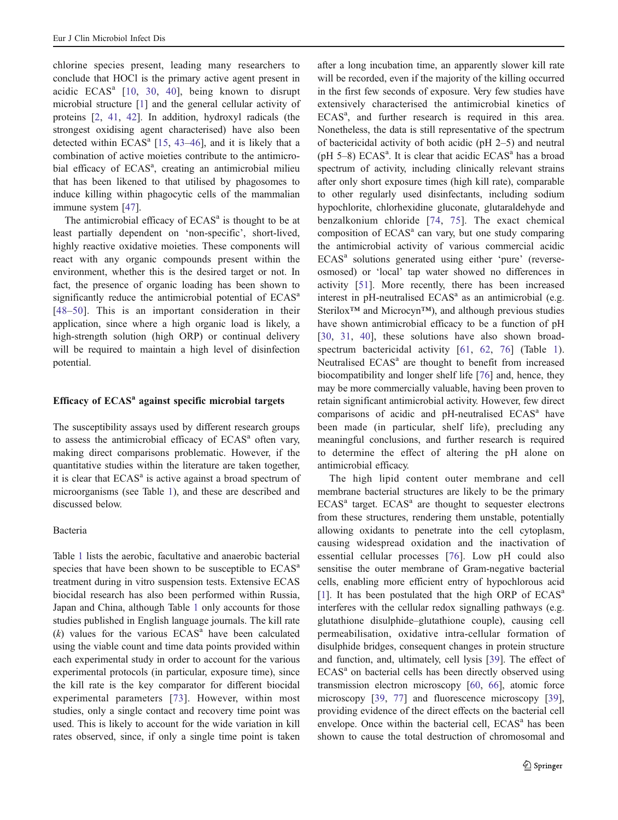chlorine species present, leading many researchers to conclude that HOCl is the primary active agent present in acidic ECAS<sup>a</sup> [[10](#page-9-0), [30,](#page-9-0) [40](#page-10-0)], being known to disrupt microbial structure [\[1](#page-9-0)] and the general cellular activity of proteins [\[2](#page-9-0), [41](#page-10-0), [42\]](#page-10-0). In addition, hydroxyl radicals (the strongest oxidising agent characterised) have also been detected within  $ECAS<sup>a</sup>$  [\[15](#page-9-0), [43](#page-10-0)-[46](#page-10-0)], and it is likely that a combination of active moieties contribute to the antimicrobial efficacy of ECAS<sup>a</sup>, creating an antimicrobial milieu that has been likened to that utilised by phagosomes to induce killing within phagocytic cells of the mammalian immune system [[47\]](#page-10-0).

The antimicrobial efficacy of  $ECAS<sup>a</sup>$  is thought to be at least partially dependent on 'non-specific', short-lived, highly reactive oxidative moieties. These components will react with any organic compounds present within the environment, whether this is the desired target or not. In fact, the presence of organic loading has been shown to significantly reduce the antimicrobial potential of ECAS<sup>a</sup> [\[48](#page-10-0)–[50](#page-10-0)]. This is an important consideration in their application, since where a high organic load is likely, a high-strength solution (high ORP) or continual delivery will be required to maintain a high level of disinfection potential.

# Efficacy of  $ECAS<sup>a</sup>$  against specific microbial targets

The susceptibility assays used by different research groups to assess the antimicrobial efficacy of  $ECAS<sup>a</sup>$  often vary, making direct comparisons problematic. However, if the quantitative studies within the literature are taken together, it is clear that  $ECAS<sup>a</sup>$  is active against a broad spectrum of microorganisms (see Table [1\)](#page-1-0), and these are described and discussed below.

#### Bacteria

Table [1](#page-1-0) lists the aerobic, facultative and anaerobic bacterial species that have been shown to be susceptible to ECAS<sup>a</sup> treatment during in vitro suspension tests. Extensive ECAS biocidal research has also been performed within Russia, Japan and China, although Table [1](#page-1-0) only accounts for those studies published in English language journals. The kill rate  $(k)$  values for the various  $ECAS<sup>a</sup>$  have been calculated using the viable count and time data points provided within each experimental study in order to account for the various experimental protocols (in particular, exposure time), since the kill rate is the key comparator for different biocidal experimental parameters [[73](#page-11-0)]. However, within most studies, only a single contact and recovery time point was used. This is likely to account for the wide variation in kill rates observed, since, if only a single time point is taken

after a long incubation time, an apparently slower kill rate will be recorded, even if the majority of the killing occurred in the first few seconds of exposure. Very few studies have extensively characterised the antimicrobial kinetics of ECAS<sup>a</sup>, and further research is required in this area. Nonetheless, the data is still representative of the spectrum of bactericidal activity of both acidic (pH 2–5) and neutral (pH 5-8) ECAS<sup>a</sup>. It is clear that acidic ECAS<sup>a</sup> has a broad spectrum of activity, including clinically relevant strains after only short exposure times (high kill rate), comparable to other regularly used disinfectants, including sodium hypochlorite, chlorhexidine gluconate, glutaraldehyde and benzalkonium chloride [[74,](#page-11-0) [75](#page-11-0)]. The exact chemical composition of  $ECAS<sup>a</sup>$  can vary, but one study comparing the antimicrobial activity of various commercial acidic  $ECAS<sup>a</sup>$  solutions generated using either 'pure' (reverseosmosed) or 'local' tap water showed no differences in activity [[51\]](#page-10-0). More recently, there has been increased interest in  $p$ H-neutralised  $ECAS<sup>a</sup>$  as an antimicrobial (e.g. Sterilox<sup>™</sup> and Microcyn<sup>™</sup>), and although previous studies have shown antimicrobial efficacy to be a function of pH [\[30](#page-9-0), [31](#page-9-0), [40](#page-10-0)], these solutions have also shown broad-spectrum bactericidal activity [[61,](#page-10-0) [62,](#page-10-0) [76](#page-11-0)] (Table [1](#page-1-0)). Neutralised ECAS<sup>a</sup> are thought to benefit from increased biocompatibility and longer shelf life [\[76](#page-11-0)] and, hence, they may be more commercially valuable, having been proven to retain significant antimicrobial activity. However, few direct comparisons of acidic and pH-neutralised ECAS<sup>a</sup> have been made (in particular, shelf life), precluding any meaningful conclusions, and further research is required to determine the effect of altering the pH alone on antimicrobial efficacy.

The high lipid content outer membrane and cell membrane bacterial structures are likely to be the primary  $ECAS<sup>a</sup>$  target.  $ECAS<sup>a</sup>$  are thought to sequester electrons from these structures, rendering them unstable, potentially allowing oxidants to penetrate into the cell cytoplasm, causing widespread oxidation and the inactivation of essential cellular processes [[76\]](#page-11-0). Low pH could also sensitise the outer membrane of Gram-negative bacterial cells, enabling more efficient entry of hypochlorous acid [\[1](#page-9-0)]. It has been postulated that the high ORP of  $ECAS<sup>a</sup>$ interferes with the cellular redox signalling pathways (e.g. glutathione disulphide–glutathione couple), causing cell permeabilisation, oxidative intra-cellular formation of disulphide bridges, consequent changes in protein structure and function, and, ultimately, cell lysis [[39\]](#page-10-0). The effect of  $ECAS<sup>a</sup>$  on bacterial cells has been directly observed using transmission electron microscopy [\[60](#page-10-0), [66\]](#page-10-0), atomic force microscopy [\[39](#page-10-0), [77](#page-11-0)] and fluorescence microscopy [[39\]](#page-10-0), providing evidence of the direct effects on the bacterial cell envelope. Once within the bacterial cell, ECAS<sup>a</sup> has been shown to cause the total destruction of chromosomal and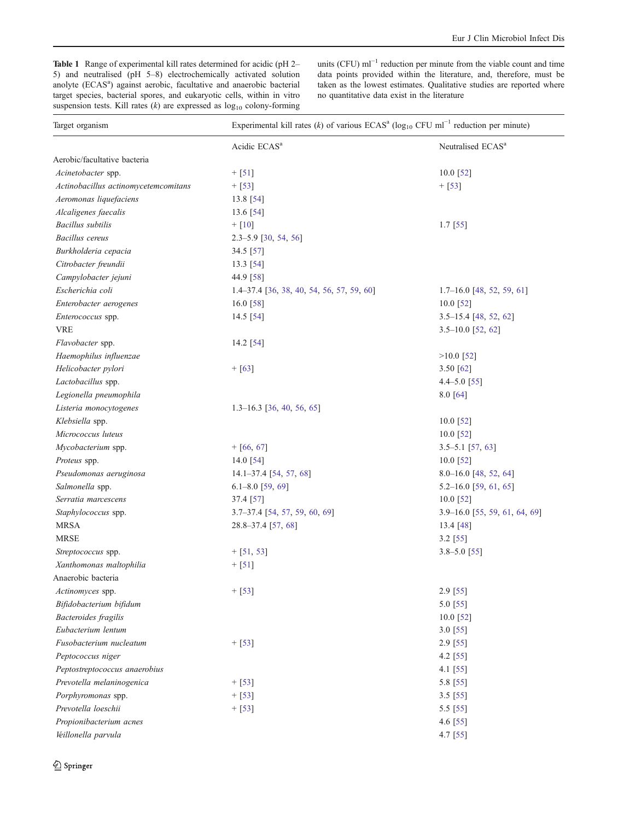<span id="page-3-0"></span>Table 1 Range of experimental kill rates determined for acidic (pH 2– 5) and neutralised (pH 5–8) electrochemically activated solution anolyte (ECAS<sup>a</sup>) against aerobic, facultative and anaerobic bacterial target species, bacterial spores, and eukaryotic cells, within in vitro suspension tests. Kill rates  $(k)$  are expressed as  $log_{10}$  colony-forming units (CFU)  $ml^{-1}$  reduction per minute from the viable count and time data points provided within the literature, and, therefore, must be taken as the lowest estimates. Qualitative studies are reported where no quantitative data exist in the literature

| Target organism                      | Experimental kill rates (k) of various ECAS <sup>a</sup> ( $log_{10}$ CFU ml <sup>-1</sup> reduction per minute) |                               |
|--------------------------------------|------------------------------------------------------------------------------------------------------------------|-------------------------------|
|                                      | Acidic ECAS <sup>a</sup>                                                                                         | Neutralised ECAS <sup>a</sup> |
| Aerobic/facultative bacteria         |                                                                                                                  |                               |
| Acinetobacter spp.                   | $+$ [51]                                                                                                         | 10.0 [52]                     |
| Actinobacillus actinomycetemcomitans | $+$ [53]                                                                                                         | $+ [53]$                      |
| Aeromonas liquefaciens               | 13.8 [54]                                                                                                        |                               |
| Alcaligenes faecalis                 | 13.6 [54]                                                                                                        |                               |
| <b>Bacillus</b> subtilis             | $+$ [10]                                                                                                         | $1.7$ [55]                    |
| <b>Bacillus</b> cereus               | $2.3 - 5.9$ [30, 54, 56]                                                                                         |                               |
| Burkholderia cepacia                 | 34.5 [57]                                                                                                        |                               |
| Citrobacter freundii                 | 13.3 [54]                                                                                                        |                               |
| Campylobacter jejuni                 | 44.9 [58]                                                                                                        |                               |
| Escherichia coli                     | $1.4-37.4$ [36, 38, 40, 54, 56, 57, 59, 60]                                                                      | $1.7-16.0$ [48, 52, 59, 61]   |
| Enterobacter aerogenes               | 16.0 [58]                                                                                                        | 10.0 [52]                     |
| Enterococcus spp.                    | 14.5 [54]                                                                                                        | $3.5 - 15.4$ [48, 52, 62]     |
| <b>VRE</b>                           |                                                                                                                  | $3.5 - 10.0$ [52, 62]         |
| Flavobacter spp.                     | 14.2 [54]                                                                                                        |                               |
| Haemophilus influenzae               |                                                                                                                  | $>10.0$ [52]                  |
| Helicobacter pylori                  | $+ [63]$                                                                                                         | 3.50 [62]                     |
| Lactobacillus spp.                   |                                                                                                                  | 4.4–5.0 [55]                  |
| Legionella pneumophila               |                                                                                                                  | 8.0 [64]                      |
| Listeria monocytogenes               | $1.3-16.3$ [36, 40, 56, 65]                                                                                      |                               |
| Klebsiella spp.                      |                                                                                                                  | $10.0$ [52]                   |
| Micrococcus luteus                   |                                                                                                                  | $10.0$ [52]                   |
| Mycobacterium spp.                   | $+$ [66, 67]                                                                                                     | $3.5 - 5.1$ [57, 63]          |
| Proteus spp.                         | 14.0 $[54]$                                                                                                      | $10.0$ [52]                   |
| Pseudomonas aeruginosa               | 14.1-37.4 [54, 57, 68]                                                                                           | 8.0-16.0 [48, 52, 64]         |
| Salmonella spp.                      | $6.1 - 8.0$ [59, 69]                                                                                             | 5.2-16.0 [59, 61, 65]         |
| Serratia marcescens                  | 37.4 [57]                                                                                                        | $10.0$ [52]                   |
| Staphylococcus spp.                  | 3.7-37.4 [54, 57, 59, 60, 69]                                                                                    | 3.9-16.0 [55, 59, 61, 64, 69] |
| <b>MRSA</b>                          | 28.8-37.4 [57, 68]                                                                                               | 13.4 [48]                     |
| <b>MRSE</b>                          |                                                                                                                  | $3.2$ [55]                    |
| Streptococcus spp.                   | $+$ [51, 53]                                                                                                     | $3.8 - 5.0$ [55]              |
| Xanthomonas maltophilia              | $+$ [51]                                                                                                         |                               |
| Anaerobic bacteria                   |                                                                                                                  |                               |
| Actinomyces spp.                     | $+$ [53]                                                                                                         | $2.9$ [55]                    |
| Bifidobacterium bifidum              |                                                                                                                  | 5.0 [55]                      |
| <b>Bacteroides</b> fragilis          |                                                                                                                  | $10.0$ [52]                   |
| Eubacterium lentum                   |                                                                                                                  | $3.0$ [55]                    |
| Fusobacterium nucleatum              | $+$ [53]                                                                                                         | $2.9$ [55]                    |
| Peptococcus niger                    |                                                                                                                  | $4.2$ [55]                    |
| Peptostreptococcus anaerobius        |                                                                                                                  | 4.1 [55]                      |
| Prevotella melaninogenica            | $+$ [53]                                                                                                         | 5.8 [55]                      |
| Porphyromonas spp.                   | $+$ [53]                                                                                                         | $3.5$ [55]                    |
| Prevotella loeschii                  | $+$ [53]                                                                                                         | 5.5 [55]                      |
| Propionibacterium acnes              |                                                                                                                  | 4.6 [55]                      |
| Veillonella parvula                  |                                                                                                                  | 4.7 [55]                      |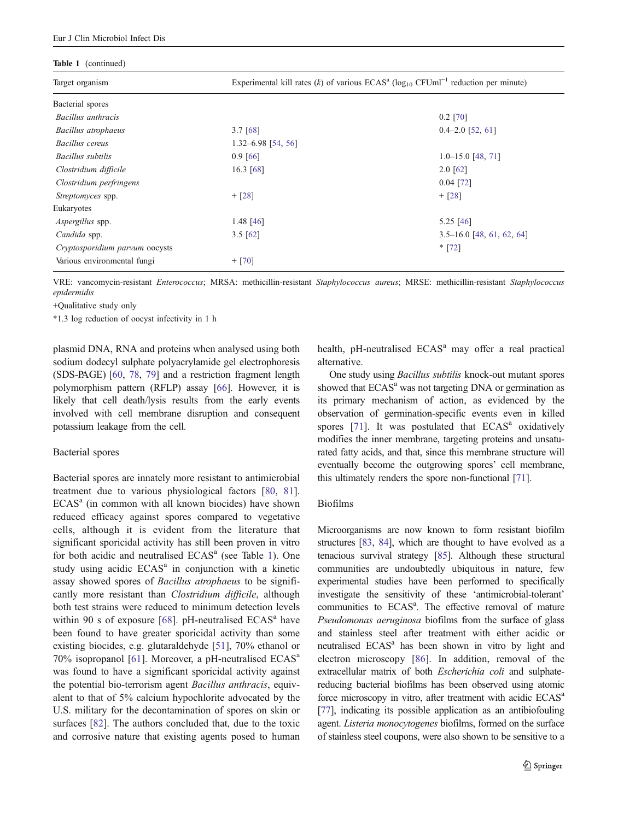| Table 1 (continued)            |                                                                                    |                             |  |
|--------------------------------|------------------------------------------------------------------------------------|-----------------------------|--|
| Target organism                | Experimental kill rates (k) of various $ECASa (log10 CFUm-1 reduction per minute)$ |                             |  |
| Bacterial spores               |                                                                                    |                             |  |
| Bacillus anthracis             |                                                                                    | $0.2$ [70]                  |  |
| Bacillus atrophaeus            | $3.7$ [68]                                                                         | $0.4 - 2.0$ [52, 61]        |  |
| Bacillus cereus                | $1.32 - 6.98$ [54, 56]                                                             |                             |  |
| Bacillus subtilis              | $0.9$ [66]                                                                         | $1.0 - 15.0$ [48, 71]       |  |
| Clostridium difficile          | 16.3 [68]                                                                          | $2.0$ [62]                  |  |
| Clostridium perfringens        |                                                                                    | $0.04$ [72]                 |  |
| Streptomyces spp.              | $+$ [28]                                                                           | $+$ [28]                    |  |
| Eukaryotes                     |                                                                                    |                             |  |
| Aspergillus spp.               | 1.48 $[46]$                                                                        | $5.25$ [46]                 |  |
| Candida spp.                   | $3.5$ [62]                                                                         | $3.5-16.0$ [48, 61, 62, 64] |  |
| Cryptosporidium parvum oocysts |                                                                                    | $*$ [72]                    |  |
| Various environmental fungi    | $+$ [70]                                                                           |                             |  |

VRE: vancomycin-resistant Enterococcus; MRSA: methicillin-resistant Staphylococcus aureus; MRSE: methicillin-resistant Staphylococcus epidermidis

+Qualitative study only

\*1.3 log reduction of oocyst infectivity in 1 h

plasmid DNA, RNA and proteins when analysed using both sodium dodecyl sulphate polyacrylamide gel electrophoresis (SDS-PAGE) [\[60](#page-10-0), [78](#page-11-0), [79](#page-11-0)] and a restriction fragment length polymorphism pattern (RFLP) assay [\[66\]](#page-10-0). However, it is likely that cell death/lysis results from the early events involved with cell membrane disruption and consequent potassium leakage from the cell.

## Bacterial spores

Bacterial spores are innately more resistant to antimicrobial treatment due to various physiological factors [\[80](#page-11-0), [81](#page-11-0)].  $ECAS<sup>a</sup>$  (in common with all known biocides) have shown reduced efficacy against spores compared to vegetative cells, although it is evident from the literature that significant sporicidal activity has still been proven in vitro for both acidic and neutralised ECAS<sup>a</sup> (see Table [1\)](#page-3-0). One study using acidic  $ECAS<sup>a</sup>$  in conjunction with a kinetic assay showed spores of Bacillus atrophaeus to be significantly more resistant than *Clostridium difficile*, although both test strains were reduced to minimum detection levels within 90 s of exposure  $[68]$  $[68]$ . pH-neutralised ECAS<sup>a</sup> have been found to have greater sporicidal activity than some existing biocides, e.g. glutaraldehyde [[51\]](#page-10-0), 70% ethanol or 70% isopropanol [\[61](#page-10-0)]. Moreover, a pH-neutralised ECAS<sup>a</sup> was found to have a significant sporicidal activity against the potential bio-terrorism agent Bacillus anthracis, equivalent to that of 5% calcium hypochlorite advocated by the U.S. military for the decontamination of spores on skin or surfaces [[82\]](#page-11-0). The authors concluded that, due to the toxic and corrosive nature that existing agents posed to human health, pH-neutralised ECAS<sup>a</sup> may offer a real practical alternative.

One study using Bacillus subtilis knock-out mutant spores showed that ECAS<sup>a</sup> was not targeting DNA or germination as its primary mechanism of action, as evidenced by the observation of germination-specific events even in killed spores  $[71]$  $[71]$ . It was postulated that  $ECAS<sup>a</sup>$  oxidatively modifies the inner membrane, targeting proteins and unsaturated fatty acids, and that, since this membrane structure will eventually become the outgrowing spores' cell membrane, this ultimately renders the spore non-functional [\[71](#page-11-0)].

# Biofilms

Microorganisms are now known to form resistant biofilm structures [\[83,](#page-11-0) [84\]](#page-11-0), which are thought to have evolved as a tenacious survival strategy [[85](#page-11-0)]. Although these structural communities are undoubtedly ubiquitous in nature, few experimental studies have been performed to specifically investigate the sensitivity of these 'antimicrobial-tolerant' communities to ECAS<sup>a</sup>. The effective removal of mature Pseudomonas aeruginosa biofilms from the surface of glass and stainless steel after treatment with either acidic or neutralised ECAS<sup>a</sup> has been shown in vitro by light and electron microscopy [\[86](#page-11-0)]. In addition, removal of the extracellular matrix of both Escherichia coli and sulphatereducing bacterial biofilms has been observed using atomic force microscopy in vitro, after treatment with acidic ECAS<sup>a</sup> [\[77\]](#page-11-0), indicating its possible application as an antibiofouling agent. Listeria monocytogenes biofilms, formed on the surface of stainless steel coupons, were also shown to be sensitive to a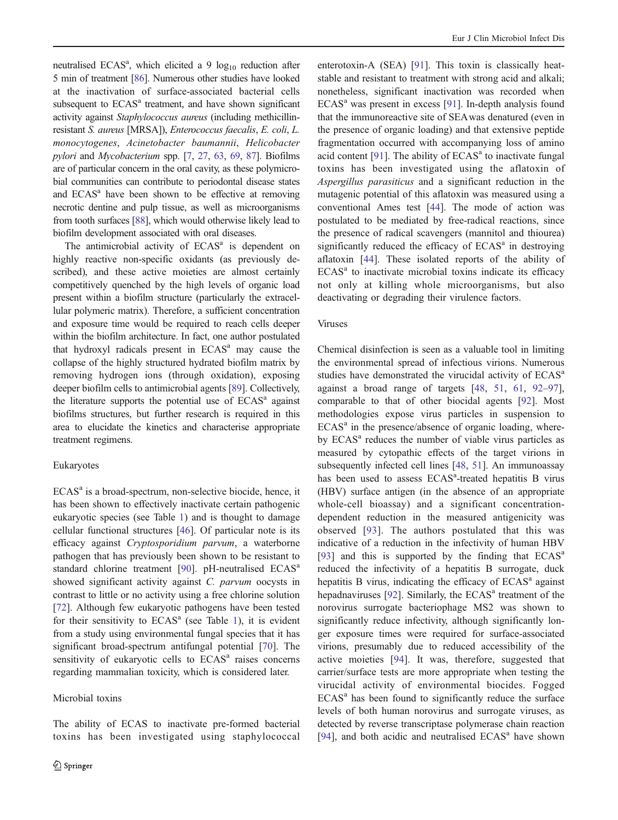neutralised  $ECAS<sup>a</sup>$ , which elicited a 9  $log<sub>10</sub>$  reduction after 5 min of treatment [\[86\]](#page-11-0). Numerous other studies have looked at the inactivation of surface-associated bacterial cells subsequent to ECAS<sup>a</sup> treatment, and have shown significant activity against Staphylococcus aureus (including methicillinresistant S. aureus [MRSA]), Enterococcus faecalis, E. coli, L. monocytogenes, Acinetobacter baumannii, Helicobacter pylori and Mycobacterium spp. [\[7,](#page-9-0) [27](#page-9-0), [63,](#page-10-0) [69](#page-11-0), [87\]](#page-11-0). Biofilms are of particular concern in the oral cavity, as these polymicrobial communities can contribute to periodontal disease states and ECAS<sup>a</sup> have been shown to be effective at removing necrotic dentine and pulp tissue, as well as microorganisms from tooth surfaces [\[88\]](#page-11-0), which would otherwise likely lead to biofilm development associated with oral diseases.

The antimicrobial activity of  $ECAS<sup>a</sup>$  is dependent on highly reactive non-specific oxidants (as previously described), and these active moieties are almost certainly competitively quenched by the high levels of organic load present within a biofilm structure (particularly the extracellular polymeric matrix). Therefore, a sufficient concentration and exposure time would be required to reach cells deeper within the biofilm architecture. In fact, one author postulated that hydroxyl radicals present in  $ECAS<sup>a</sup>$  may cause the collapse of the highly structured hydrated biofilm matrix by removing hydrogen ions (through oxidation), exposing deeper biofilm cells to antimicrobial agents [\[89](#page-11-0)]. Collectively, the literature supports the potential use of  $ECAS<sup>a</sup>$  against biofilms structures, but further research is required in this area to elucidate the kinetics and characterise appropriate treatment regimens.

#### Eukaryotes

 $ECAS<sup>a</sup>$  is a broad-spectrum, non-selective biocide, hence, it has been shown to effectively inactivate certain pathogenic eukaryotic species (see Table [1\)](#page-1-0) and is thought to damage cellular functional structures [\[46](#page-10-0)]. Of particular note is its efficacy against Cryptosporidium parvum, a waterborne pathogen that has previously been shown to be resistant to standard chlorine treatment [[90\]](#page-11-0). pH-neutralised ECAS<sup>a</sup> showed significant activity against C. parvum oocysts in contrast to little or no activity using a free chlorine solution [\[72](#page-11-0)]. Although few eukaryotic pathogens have been tested for their sensitivity to  $ECAS<sup>a</sup>$  (see Table [1](#page-1-0)), it is evident from a study using environmental fungal species that it has significant broad-spectrum antifungal potential [[70\]](#page-11-0). The sensitivity of eukaryotic cells to ECAS<sup>a</sup> raises concerns regarding mammalian toxicity, which is considered later.

#### Microbial toxins

The ability of ECAS to inactivate pre-formed bacterial toxins has been investigated using staphylococcal

enterotoxin-A (SEA) [[91](#page-11-0)]. This toxin is classically heatstable and resistant to treatment with strong acid and alkali; nonetheless, significant inactivation was recorded when  $ECAS<sup>a</sup>$  was present in excess [[91\]](#page-11-0). In-depth analysis found that the immunoreactive site of SEAwas denatured (even in the presence of organic loading) and that extensive peptide fragmentation occurred with accompanying loss of amino acid content [\[91](#page-11-0)]. The ability of  $ECAS<sup>a</sup>$  to inactivate fungal toxins has been investigated using the aflatoxin of Aspergillus parasiticus and a significant reduction in the mutagenic potential of this aflatoxin was measured using a conventional Ames test [[44\]](#page-10-0). The mode of action was postulated to be mediated by free-radical reactions, since the presence of radical scavengers (mannitol and thiourea) significantly reduced the efficacy of  $ECAS<sup>a</sup>$  in destroying aflatoxin [[44\]](#page-10-0). These isolated reports of the ability of  $ECAS<sup>a</sup>$  to inactivate microbial toxins indicate its efficacy not only at killing whole microorganisms, but also deactivating or degrading their virulence factors.

#### Viruses

Chemical disinfection is seen as a valuable tool in limiting the environmental spread of infectious virions. Numerous studies have demonstrated the virucidal activity of ECAS<sup>a</sup> against a broad range of targets [[48](#page-10-0), [51](#page-10-0), [61,](#page-10-0) [92](#page-11-0)–[97\]](#page-11-0), comparable to that of other biocidal agents [[92\]](#page-11-0). Most methodologies expose virus particles in suspension to  $ECAS<sup>a</sup>$  in the presence/absence of organic loading, whereby ECAS<sup>a</sup> reduces the number of viable virus particles as measured by cytopathic effects of the target virions in subsequently infected cell lines [\[48](#page-10-0), [51](#page-10-0)]. An immunoassay has been used to assess ECAS<sup>a</sup>-treated hepatitis B virus (HBV) surface antigen (in the absence of an appropriate whole-cell bioassay) and a significant concentrationdependent reduction in the measured antigenicity was observed [\[93\]](#page-11-0). The authors postulated that this was indicative of a reduction in the infectivity of human HBV [\[93](#page-11-0)] and this is supported by the finding that  $ECAS<sup>a</sup>$ reduced the infectivity of a hepatitis B surrogate, duck hepatitis B virus, indicating the efficacy of  $ECAS<sup>a</sup>$  against hepadnaviruses [[92\]](#page-11-0). Similarly, the  $ECAS<sup>a</sup>$  treatment of the norovirus surrogate bacteriophage MS2 was shown to significantly reduce infectivity, although significantly longer exposure times were required for surface-associated virions, presumably due to reduced accessibility of the active moieties [[94\]](#page-11-0). It was, therefore, suggested that carrier/surface tests are more appropriate when testing the virucidal activity of environmental biocides. Fogged  $ECAS<sup>a</sup>$  has been found to significantly reduce the surface levels of both human norovirus and surrogate viruses, as detected by reverse transcriptase polymerase chain reaction [\[94](#page-11-0)], and both acidic and neutralised  $ECAS<sup>a</sup>$  have shown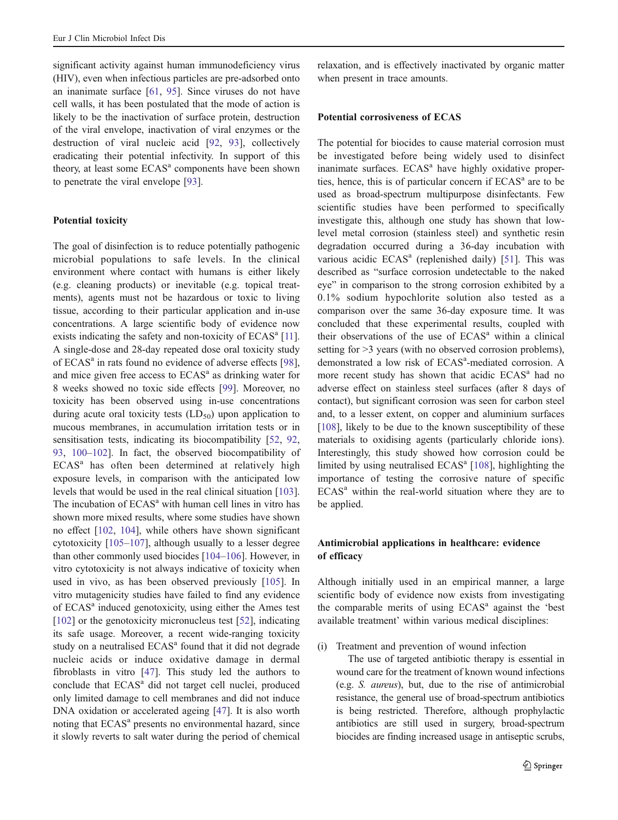<span id="page-6-0"></span>significant activity against human immunodeficiency virus (HIV), even when infectious particles are pre-adsorbed onto an inanimate surface [[61,](#page-10-0) [95\]](#page-11-0). Since viruses do not have cell walls, it has been postulated that the mode of action is likely to be the inactivation of surface protein, destruction of the viral envelope, inactivation of viral enzymes or the destruction of viral nucleic acid [[92,](#page-11-0) [93\]](#page-11-0), collectively eradicating their potential infectivity. In support of this theory, at least some ECAS<sup>a</sup> components have been shown to penetrate the viral envelope [\[93](#page-11-0)].

## Potential toxicity

The goal of disinfection is to reduce potentially pathogenic microbial populations to safe levels. In the clinical environment where contact with humans is either likely (e.g. cleaning products) or inevitable (e.g. topical treatments), agents must not be hazardous or toxic to living tissue, according to their particular application and in-use concentrations. A large scientific body of evidence now exists indicating the safety and non-toxicity of  $ECAS<sup>a</sup>$  [\[11](#page-9-0)]. A single-dose and 28-day repeated dose oral toxicity study of ECAS<sup>a</sup> in rats found no evidence of adverse effects [\[98](#page-11-0)], and mice given free access to ECAS<sup>a</sup> as drinking water for 8 weeks showed no toxic side effects [\[99](#page-11-0)]. Moreover, no toxicity has been observed using in-use concentrations during acute oral toxicity tests  $(LD_{50})$  upon application to mucous membranes, in accumulation irritation tests or in sensitisation tests, indicating its biocompatibility [[52,](#page-10-0) [92,](#page-11-0) [93](#page-11-0), [100](#page-11-0)–[102\]](#page-11-0). In fact, the observed biocompatibility of  $ECAS<sup>a</sup>$  has often been determined at relatively high exposure levels, in comparison with the anticipated low levels that would be used in the real clinical situation [\[103](#page-11-0)]. The incubation of ECAS<sup>a</sup> with human cell lines in vitro has shown more mixed results, where some studies have shown no effect [\[102](#page-11-0), [104\]](#page-11-0), while others have shown significant cytotoxicity [[105](#page-11-0)–[107\]](#page-11-0), although usually to a lesser degree than other commonly used biocides [[104](#page-11-0)–[106\]](#page-11-0). However, in vitro cytotoxicity is not always indicative of toxicity when used in vivo, as has been observed previously [[105](#page-11-0)]. In vitro mutagenicity studies have failed to find any evidence of ECAS<sup>a</sup> induced genotoxicity, using either the Ames test [\[102](#page-11-0)] or the genotoxicity micronucleus test [[52\]](#page-10-0), indicating its safe usage. Moreover, a recent wide-ranging toxicity study on a neutralised ECAS<sup>a</sup> found that it did not degrade nucleic acids or induce oxidative damage in dermal fibroblasts in vitro [\[47](#page-10-0)]. This study led the authors to conclude that ECAS<sup>a</sup> did not target cell nuclei, produced only limited damage to cell membranes and did not induce DNA oxidation or accelerated ageing [[47\]](#page-10-0). It is also worth noting that ECAS<sup>a</sup> presents no environmental hazard, since it slowly reverts to salt water during the period of chemical

relaxation, and is effectively inactivated by organic matter when present in trace amounts.

## Potential corrosiveness of ECAS

The potential for biocides to cause material corrosion must be investigated before being widely used to disinfect inanimate surfaces.  $ECAS<sup>a</sup>$  have highly oxidative properties, hence, this is of particular concern if  $ECAS<sup>a</sup>$  are to be used as broad-spectrum multipurpose disinfectants. Few scientific studies have been performed to specifically investigate this, although one study has shown that lowlevel metal corrosion (stainless steel) and synthetic resin degradation occurred during a 36-day incubation with various acidic  $ECAS<sup>a</sup>$  (replenished daily) [\[51](#page-10-0)]. This was described as "surface corrosion undetectable to the naked eye" in comparison to the strong corrosion exhibited by a 0.1% sodium hypochlorite solution also tested as a comparison over the same 36-day exposure time. It was concluded that these experimental results, coupled with their observations of the use of  $ECAS<sup>a</sup>$  within a clinical setting for  $>3$  years (with no observed corrosion problems), demonstrated a low risk of ECAS<sup>a</sup>-mediated corrosion. A more recent study has shown that acidic ECAS<sup>a</sup> had no adverse effect on stainless steel surfaces (after 8 days of contact), but significant corrosion was seen for carbon steel and, to a lesser extent, on copper and aluminium surfaces [\[108](#page-11-0)], likely to be due to the known susceptibility of these materials to oxidising agents (particularly chloride ions). Interestingly, this study showed how corrosion could be limited by using neutralised  $ECAS<sup>a</sup>$  [[108\]](#page-11-0), highlighting the importance of testing the corrosive nature of specific  $ECAS<sup>a</sup>$  within the real-world situation where they are to be applied.

# Antimicrobial applications in healthcare: evidence of efficacy

Although initially used in an empirical manner, a large scientific body of evidence now exists from investigating the comparable merits of using ECAS<sup>a</sup> against the 'best available treatment' within various medical disciplines:

(i) Treatment and prevention of wound infection

The use of targeted antibiotic therapy is essential in wound care for the treatment of known wound infections (e.g. S. aureus), but, due to the rise of antimicrobial resistance, the general use of broad-spectrum antibiotics is being restricted. Therefore, although prophylactic antibiotics are still used in surgery, broad-spectrum biocides are finding increased usage in antiseptic scrubs,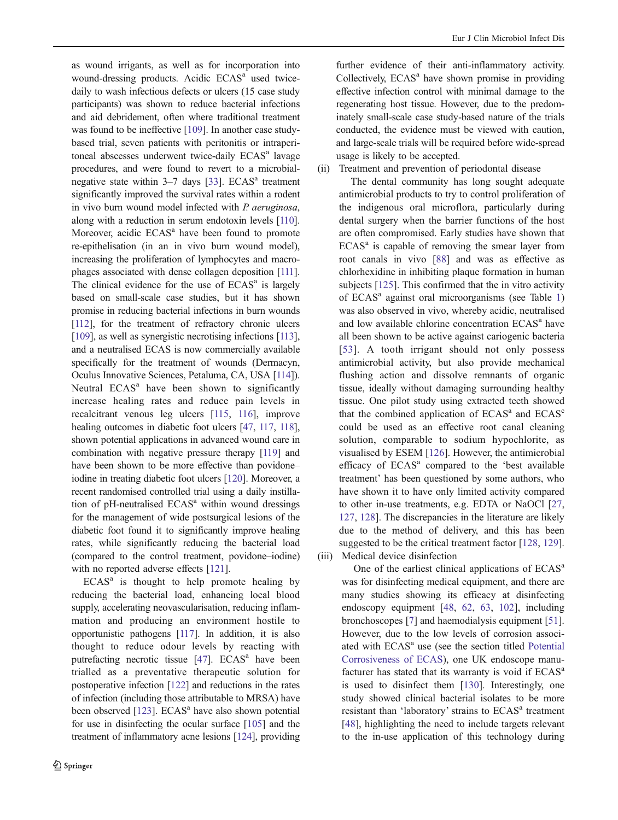as wound irrigants, as well as for incorporation into wound-dressing products. Acidic ECAS<sup>a</sup> used twicedaily to wash infectious defects or ulcers (15 case study participants) was shown to reduce bacterial infections and aid debridement, often where traditional treatment was found to be ineffective [[109](#page-11-0)]. In another case studybased trial, seven patients with peritonitis or intraperitoneal abscesses underwent twice-daily ECAS<sup>a</sup> lavage procedures, and were found to revert to a microbialnegative state within  $3-7$  days [[33\]](#page-10-0). ECAS<sup>a</sup> treatment significantly improved the survival rates within a rodent in vivo burn wound model infected with P. aeruginosa, along with a reduction in serum endotoxin levels [[110\]](#page-12-0). Moreover, acidic ECAS<sup>a</sup> have been found to promote re-epithelisation (in an in vivo burn wound model), increasing the proliferation of lymphocytes and macrophages associated with dense collagen deposition [\[111\]](#page-12-0). The clinical evidence for the use of  $ECAS<sup>a</sup>$  is largely based on small-scale case studies, but it has shown promise in reducing bacterial infections in burn wounds [\[112](#page-12-0)], for the treatment of refractory chronic ulcers [\[109\]](#page-11-0), as well as synergistic necrotising infections [[113\]](#page-12-0), and a neutralised ECAS is now commercially available specifically for the treatment of wounds (Dermacyn, Oculus Innovative Sciences, Petaluma, CA, USA [\[114](#page-12-0)]). Neutral  $ECAS<sup>a</sup>$  have been shown to significantly increase healing rates and reduce pain levels in recalcitrant venous leg ulcers [\[115,](#page-12-0) [116\]](#page-12-0), improve healing outcomes in diabetic foot ulcers [\[47](#page-10-0), [117,](#page-12-0) [118\]](#page-12-0), shown potential applications in advanced wound care in combination with negative pressure therapy [\[119](#page-12-0)] and have been shown to be more effective than povidone– iodine in treating diabetic foot ulcers [\[120\]](#page-12-0). Moreover, a recent randomised controlled trial using a daily instillation of  $p$ H-neutralised  $ECAS<sup>a</sup>$  within wound dressings for the management of wide postsurgical lesions of the diabetic foot found it to significantly improve healing rates, while significantly reducing the bacterial load (compared to the control treatment, povidone–iodine) with no reported adverse effects [\[121\]](#page-12-0).

 $ECAS<sup>a</sup>$  is thought to help promote healing by reducing the bacterial load, enhancing local blood supply, accelerating neovascularisation, reducing inflammation and producing an environment hostile to opportunistic pathogens [\[117](#page-12-0)]. In addition, it is also thought to reduce odour levels by reacting with putrefacting necrotic tissue  $[47]$ . ECAS<sup>a</sup> have been trialled as a preventative therapeutic solution for postoperative infection [\[122](#page-12-0)] and reductions in the rates of infection (including those attributable to MRSA) have been observed [[123](#page-12-0)]. ECAS<sup>a</sup> have also shown potential for use in disinfecting the ocular surface [\[105\]](#page-11-0) and the treatment of inflammatory acne lesions [\[124\]](#page-12-0), providing

further evidence of their anti-inflammatory activity. Collectively,  $ECAS<sup>a</sup>$  have shown promise in providing effective infection control with minimal damage to the regenerating host tissue. However, due to the predominately small-scale case study-based nature of the trials conducted, the evidence must be viewed with caution, and large-scale trials will be required before wide-spread usage is likely to be accepted.

- (ii) Treatment and prevention of periodontal disease
- The dental community has long sought adequate antimicrobial products to try to control proliferation of the indigenous oral microflora, particularly during dental surgery when the barrier functions of the host are often compromised. Early studies have shown that  $ECAS<sup>a</sup>$  is capable of removing the smear layer from root canals in vivo [\[88](#page-11-0)] and was as effective as chlorhexidine in inhibiting plaque formation in human subjects [\[125](#page-12-0)]. This confirmed that the in vitro activity of ECAS<sup>a</sup> against oral microorganisms (see Table [1](#page-1-0)) was also observed in vivo, whereby acidic, neutralised and low available chlorine concentration ECAS<sup>a</sup> have all been shown to be active against cariogenic bacteria [\[53\]](#page-10-0). A tooth irrigant should not only possess antimicrobial activity, but also provide mechanical flushing action and dissolve remnants of organic tissue, ideally without damaging surrounding healthy tissue. One pilot study using extracted teeth showed that the combined application of  $ECAS<sup>a</sup>$  and  $ECAS<sup>c</sup>$ could be used as an effective root canal cleaning solution, comparable to sodium hypochlorite, as visualised by ESEM [\[126](#page-12-0)]. However, the antimicrobial efficacy of ECAS<sup>a</sup> compared to the 'best available treatment' has been questioned by some authors, who have shown it to have only limited activity compared to other in-use treatments, e.g. EDTA or NaOCl [[27,](#page-9-0) [127,](#page-12-0) [128\]](#page-12-0). The discrepancies in the literature are likely due to the method of delivery, and this has been suggested to be the critical treatment factor [\[128](#page-12-0), [129\]](#page-12-0). (iii) Medical device disinfection

One of the earliest clinical applications of ECAS<sup>a</sup> was for disinfecting medical equipment, and there are many studies showing its efficacy at disinfecting endoscopy equipment [[48,](#page-10-0) [62](#page-10-0), [63](#page-10-0), [102\]](#page-11-0), including bronchoscopes [\[7](#page-9-0)] and haemodialysis equipment [[51\]](#page-10-0). However, due to the low levels of corrosion associ-ated with ECAS<sup>a</sup> use (see the section titled [Potential](#page-6-0) [Corrosiveness of ECAS](#page-6-0)), one UK endoscope manufacturer has stated that its warranty is void if ECAS<sup>a</sup> is used to disinfect them [[130\]](#page-12-0). Interestingly, one study showed clinical bacterial isolates to be more resistant than 'laboratory' strains to ECAS<sup>a</sup> treatment [[48\]](#page-10-0), highlighting the need to include targets relevant to the in-use application of this technology during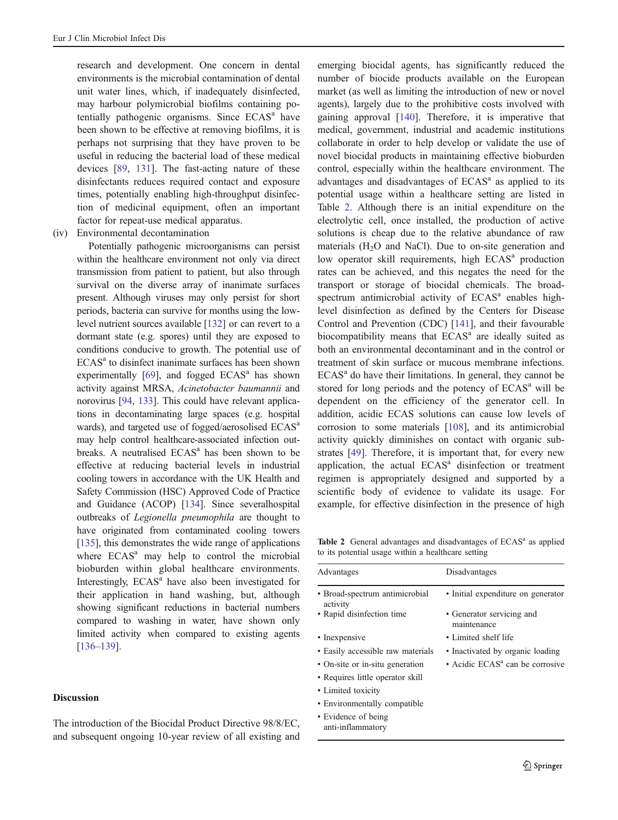research and development. One concern in dental environments is the microbial contamination of dental unit water lines, which, if inadequately disinfected, may harbour polymicrobial biofilms containing potentially pathogenic organisms. Since  $ECAS<sup>a</sup>$  have been shown to be effective at removing biofilms, it is perhaps not surprising that they have proven to be useful in reducing the bacterial load of these medical devices [[89,](#page-11-0) [131\]](#page-12-0). The fast-acting nature of these disinfectants reduces required contact and exposure times, potentially enabling high-throughput disinfection of medicinal equipment, often an important factor for repeat-use medical apparatus.

(iv) Environmental decontamination

Potentially pathogenic microorganisms can persist within the healthcare environment not only via direct transmission from patient to patient, but also through survival on the diverse array of inanimate surfaces present. Although viruses may only persist for short periods, bacteria can survive for months using the lowlevel nutrient sources available [[132](#page-12-0)] or can revert to a dormant state (e.g. spores) until they are exposed to conditions conducive to growth. The potential use of  $ECAS<sup>a</sup>$  to disinfect inanimate surfaces has been shown experimentally  $[69]$ , and fogged  $ECAS<sup>a</sup>$  has shown activity against MRSA, Acinetobacter baumannii and norovirus [[94](#page-11-0), [133\]](#page-12-0). This could have relevant applications in decontaminating large spaces (e.g. hospital wards), and targeted use of fogged/aerosolised ECAS<sup>a</sup> may help control healthcare-associated infection outbreaks. A neutralised ECAS<sup>a</sup> has been shown to be effective at reducing bacterial levels in industrial cooling towers in accordance with the UK Health and Safety Commission (HSC) Approved Code of Practice and Guidance (ACOP) [\[134\]](#page-12-0). Since severalhospital outbreaks of Legionella pneumophila are thought to have originated from contaminated cooling towers [\[135\]](#page-12-0), this demonstrates the wide range of applications where  $ECAS<sup>a</sup>$  may help to control the microbial bioburden within global healthcare environments. Interestingly,  $ECAS<sup>a</sup>$  have also been investigated for their application in hand washing, but, although showing significant reductions in bacterial numbers compared to washing in water, have shown only limited activity when compared to existing agents [\[136](#page-12-0)–[139](#page-12-0)].

## **Discussion**

The introduction of the Biocidal Product Directive 98/8/EC, and subsequent ongoing 10-year review of all existing and

emerging biocidal agents, has significantly reduced the number of biocide products available on the European market (as well as limiting the introduction of new or novel agents), largely due to the prohibitive costs involved with gaining approval [\[140](#page-12-0)]. Therefore, it is imperative that medical, government, industrial and academic institutions collaborate in order to help develop or validate the use of novel biocidal products in maintaining effective bioburden control, especially within the healthcare environment. The advantages and disadvantages of ECAS<sup>a</sup> as applied to its potential usage within a healthcare setting are listed in Table 2. Although there is an initial expenditure on the electrolytic cell, once installed, the production of active solutions is cheap due to the relative abundance of raw materials  $(H<sub>2</sub>O$  and NaCl). Due to on-site generation and low operator skill requirements, high ECAS<sup>a</sup> production rates can be achieved, and this negates the need for the transport or storage of biocidal chemicals. The broadspectrum antimicrobial activity of  $ECAS<sup>a</sup>$  enables highlevel disinfection as defined by the Centers for Disease Control and Prevention (CDC) [\[141](#page-12-0)], and their favourable biocompatibility means that  $ECAS<sup>a</sup>$  are ideally suited as both an environmental decontaminant and in the control or treatment of skin surface or mucous membrane infections.  $ECAS<sup>a</sup>$  do have their limitations. In general, they cannot be stored for long periods and the potency of  $ECAS<sup>a</sup>$  will be dependent on the efficiency of the generator cell. In addition, acidic ECAS solutions can cause low levels of corrosion to some materials [[108\]](#page-11-0), and its antimicrobial activity quickly diminishes on contact with organic substrates [\[49](#page-10-0)]. Therefore, it is important that, for every new application, the actual  $ECAS<sup>a</sup>$  disinfection or treatment regimen is appropriately designed and supported by a scientific body of evidence to validate its usage. For example, for effective disinfection in the presence of high

Table 2 General advantages and disadvantages of ECAS<sup>a</sup> as applied to its potential usage within a healthcare setting

| Advantages                                 | Disadvantages                            |
|--------------------------------------------|------------------------------------------|
| • Broad-spectrum antimicrobial<br>activity | • Initial expenditure on generator       |
| • Rapid disinfection time                  | • Generator servicing and<br>maintenance |
| • Inexpensive                              | • Limited shelf life                     |
| • Easily accessible raw materials          | • Inactivated by organic loading         |
| • On-site or in-situ generation            | • Acidic $ECASa$ can be corrosive        |
| • Requires little operator skill           |                                          |
| • Limited toxicity                         |                                          |
| • Environmentally compatible               |                                          |
| • Evidence of being<br>anti-inflammatory   |                                          |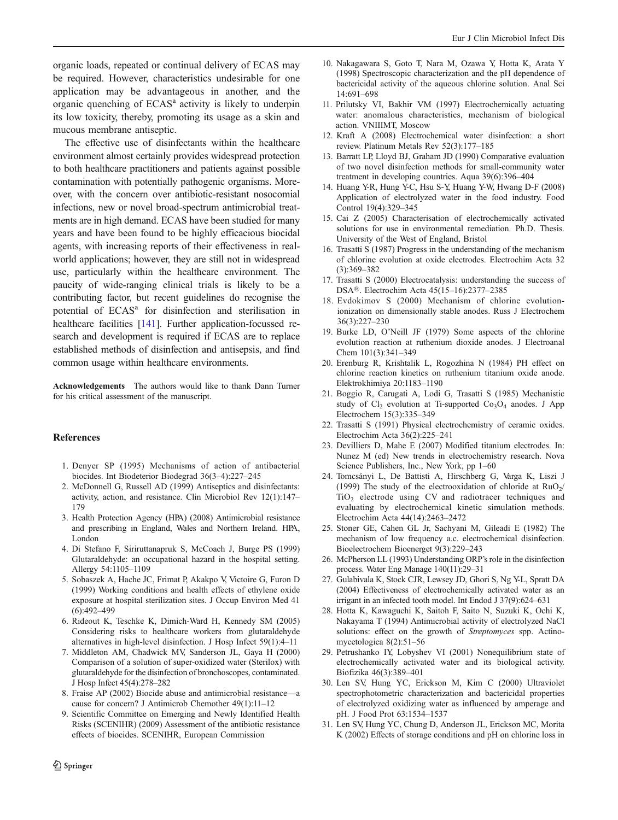<span id="page-9-0"></span>organic loads, repeated or continual delivery of ECAS may be required. However, characteristics undesirable for one application may be advantageous in another, and the organic quenching of ECAS<sup>a</sup> activity is likely to underpin its low toxicity, thereby, promoting its usage as a skin and mucous membrane antiseptic.

The effective use of disinfectants within the healthcare environment almost certainly provides widespread protection to both healthcare practitioners and patients against possible contamination with potentially pathogenic organisms. Moreover, with the concern over antibiotic-resistant nosocomial infections, new or novel broad-spectrum antimicrobial treatments are in high demand. ECAS have been studied for many years and have been found to be highly efficacious biocidal agents, with increasing reports of their effectiveness in realworld applications; however, they are still not in widespread use, particularly within the healthcare environment. The paucity of wide-ranging clinical trials is likely to be a contributing factor, but recent guidelines do recognise the potential of ECAS<sup>a</sup> for disinfection and sterilisation in healthcare facilities [[141\]](#page-12-0). Further application-focussed research and development is required if ECAS are to replace established methods of disinfection and antisepsis, and find common usage within healthcare environments.

Acknowledgements The authors would like to thank Dann Turner for his critical assessment of the manuscript.

## References

- 1. Denyer SP (1995) Mechanisms of action of antibacterial biocides. Int Biodeterior Biodegrad 36(3–4):227–245
- 2. McDonnell G, Russell AD (1999) Antiseptics and disinfectants: activity, action, and resistance. Clin Microbiol Rev 12(1):147– 179
- 3. Health Protection Agency (HPA) (2008) Antimicrobial resistance and prescribing in England, Wales and Northern Ireland. HPA, London
- 4. Di Stefano F, Siriruttanapruk S, McCoach J, Burge PS (1999) Glutaraldehyde: an occupational hazard in the hospital setting. Allergy 54:1105–1109
- 5. Sobaszek A, Hache JC, Frimat P, Akakpo V, Victoire G, Furon D (1999) Working conditions and health effects of ethylene oxide exposure at hospital sterilization sites. J Occup Environ Med 41 (6):492–499
- 6. Rideout K, Teschke K, Dimich-Ward H, Kennedy SM (2005) Considering risks to healthcare workers from glutaraldehyde alternatives in high-level disinfection. J Hosp Infect 59(1):4–11
- 7. Middleton AM, Chadwick MV, Sanderson JL, Gaya H (2000) Comparison of a solution of super-oxidized water (Sterilox) with glutaraldehyde for the disinfection of bronchoscopes, contaminated. J Hosp Infect 45(4):278–282
- 8. Fraise AP (2002) Biocide abuse and antimicrobial resistance—a cause for concern? J Antimicrob Chemother 49(1):11–12
- 9. Scientific Committee on Emerging and Newly Identified Health Risks (SCENIHR) (2009) Assessment of the antibiotic resistance effects of biocides. SCENIHR, European Commission
- 10. Nakagawara S, Goto T, Nara M, Ozawa Y, Hotta K, Arata Y (1998) Spectroscopic characterization and the pH dependence of bactericidal activity of the aqueous chlorine solution. Anal Sci 14:691–698
- 11. Prilutsky VI, Bakhir VM (1997) Electrochemically actuating water: anomalous characteristics, mechanism of biological action. VNIIIMT, Moscow
- 12. Kraft A (2008) Electrochemical water disinfection: a short review. Platinum Metals Rev 52(3):177–185
- 13. Barratt LP, Lloyd BJ, Graham JD (1990) Comparative evaluation of two novel disinfection methods for small-community water treatment in developing countries. Aqua 39(6):396–404
- 14. Huang Y-R, Hung Y-C, Hsu S-Y, Huang Y-W, Hwang D-F (2008) Application of electrolyzed water in the food industry. Food Control 19(4):329–345
- 15. Cai Z (2005) Characterisation of electrochemically activated solutions for use in environmental remediation. Ph.D. Thesis. University of the West of England, Bristol
- 16. Trasatti S (1987) Progress in the understanding of the mechanism of chlorine evolution at oxide electrodes. Electrochim Acta 32 (3):369–382
- 17. Trasatti S (2000) Electrocatalysis: understanding the success of DSA®. Electrochim Acta 45(15–16):2377–2385
- 18. Evdokimov S (2000) Mechanism of chlorine evolutionionization on dimensionally stable anodes. Russ J Electrochem 36(3):227–230
- 19. Burke LD, O'Neill JF (1979) Some aspects of the chlorine evolution reaction at ruthenium dioxide anodes. J Electroanal Chem 101(3):341–349
- 20. Erenburg R, Krishtalik L, Rogozhina N (1984) PH effect on chlorine reaction kinetics on ruthenium titanium oxide anode. Elektrokhimiya 20:1183–1190
- 21. Boggio R, Carugati A, Lodi G, Trasatti S (1985) Mechanistic study of  $Cl_2$  evolution at Ti-supported  $Co_3O_4$  anodes. J App Electrochem 15(3):335–349
- 22. Trasatti S (1991) Physical electrochemistry of ceramic oxides. Electrochim Acta 36(2):225–241
- 23. Devilliers D, Mahe E (2007) Modified titanium electrodes. In: Nunez M (ed) New trends in electrochemistry research. Nova Science Publishers, Inc., New York, pp 1–60
- 24. Tomcsányi L, De Battisti A, Hirschberg G, Varga K, Liszi J (1999) The study of the electrooxidation of chloride at  $RuO<sub>2</sub>/$ TiO2 electrode using CV and radiotracer techniques and evaluating by electrochemical kinetic simulation methods. Electrochim Acta 44(14):2463–2472
- 25. Stoner GE, Cahen GL Jr, Sachyani M, Gileadi E (1982) The mechanism of low frequency a.c. electrochemical disinfection. Bioelectrochem Bioenerget 9(3):229–243
- 26. McPherson LL (1993) Understanding ORP's role in the disinfection process. Water Eng Manage 140(11):29–31
- 27. Gulabivala K, Stock CJR, Lewsey JD, Ghori S, Ng Y-L, Spratt DA (2004) Effectiveness of electrochemically activated water as an irrigant in an infected tooth model. Int Endod J 37(9):624–631
- 28. Hotta K, Kawaguchi K, Saitoh F, Saito N, Suzuki K, Ochi K, Nakayama T (1994) Antimicrobial activity of electrolyzed NaCl solutions: effect on the growth of *Streptomyces* spp. Actinomycetologica 8(2):51–56
- 29. Petrushanko IY, Lobyshev VI (2001) Nonequilibrium state of electrochemically activated water and its biological activity. Biofizika 46(3):389–401
- 30. Len SV, Hung YC, Erickson M, Kim C (2000) Ultraviolet spectrophotometric characterization and bactericidal properties of electrolyzed oxidizing water as influenced by amperage and pH. J Food Prot 63:1534–1537
- 31. Len SV, Hung YC, Chung D, Anderson JL, Erickson MC, Morita K (2002) Effects of storage conditions and pH on chlorine loss in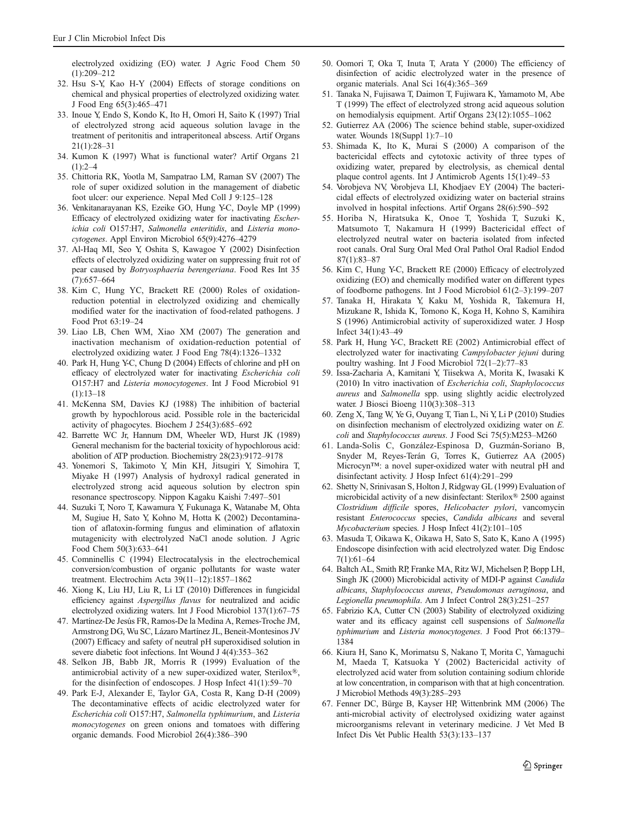<span id="page-10-0"></span>electrolyzed oxidizing (EO) water. J Agric Food Chem 50 (1):209–212

- 32. Hsu S-Y, Kao H-Y (2004) Effects of storage conditions on chemical and physical properties of electrolyzed oxidizing water. J Food Eng 65(3):465–471
- 33. Inoue Y, Endo S, Kondo K, Ito H, Omori H, Saito K (1997) Trial of electrolyzed strong acid aqueous solution lavage in the treatment of peritonitis and intraperitoneal abscess. Artif Organs 21(1):28–31
- 34. Kumon K (1997) What is functional water? Artif Organs 21  $(1):2-4$
- 35. Chittoria RK, Yootla M, Sampatrao LM, Raman SV (2007) The role of super oxidized solution in the management of diabetic foot ulcer: our experience. Nepal Med Coll J 9:125–128
- 36. Venkitanarayanan KS, Ezeike GO, Hung Y-C, Doyle MP (1999) Efficacy of electrolyzed oxidizing water for inactivating Escherichia coli O157:H7, Salmonella enteritidis, and Listeria monocytogenes. Appl Environ Microbiol 65(9):4276–4279
- 37. Al-Haq MI, Seo Y, Oshita S, Kawagoe Y (2002) Disinfection effects of electrolyzed oxidizing water on suppressing fruit rot of pear caused by Botryosphaeria berengeriana. Food Res Int 35 (7):657–664
- 38. Kim C, Hung YC, Brackett RE (2000) Roles of oxidationreduction potential in electrolyzed oxidizing and chemically modified water for the inactivation of food-related pathogens. J Food Prot 63:19–24
- 39. Liao LB, Chen WM, Xiao XM (2007) The generation and inactivation mechanism of oxidation-reduction potential of electrolyzed oxidizing water. J Food Eng 78(4):1326–1332
- 40. Park H, Hung Y-C, Chung D (2004) Effects of chlorine and pH on efficacy of electrolyzed water for inactivating Escherichia coli O157:H7 and Listeria monocytogenes. Int J Food Microbiol 91 (1):13–18
- 41. McKenna SM, Davies KJ (1988) The inhibition of bacterial growth by hypochlorous acid. Possible role in the bactericidal activity of phagocytes. Biochem J 254(3):685–692
- 42. Barrette WC Jr, Hannum DM, Wheeler WD, Hurst JK (1989) General mechanism for the bacterial toxicity of hypochlorous acid: abolition of ATP production. Biochemistry 28(23):9172–9178
- 43. Yonemori S, Takimoto Y, Min KH, Jitsugiri Y, Simohira T, Miyake H (1997) Analysis of hydroxyl radical generated in electrolyzed strong acid aqueous solution by electron spin resonance spectroscopy. Nippon Kagaku Kaishi 7:497–501
- 44. Suzuki T, Noro T, Kawamura Y, Fukunaga K, Watanabe M, Ohta M, Sugiue H, Sato Y, Kohno M, Hotta K (2002) Decontamination of aflatoxin-forming fungus and elimination of aflatoxin mutagenicity with electrolyzed NaCl anode solution. J Agric Food Chem 50(3):633–641
- 45. Comninellis C (1994) Electrocatalysis in the electrochemical conversion/combustion of organic pollutants for waste water treatment. Electrochim Acta 39(11–12):1857–1862
- 46. Xiong K, Liu HJ, Liu R, Li LT (2010) Differences in fungicidal efficiency against Aspergillus flavus for neutralized and acidic electrolyzed oxidizing waters. Int J Food Microbiol 137(1):67–75
- 47. Martínez-De Jesús FR, Ramos-De la Medina A, Remes-Troche JM, Armstrong DG, Wu SC, Lázaro Martínez JL, Beneit-Montesinos JV (2007) Efficacy and safety of neutral pH superoxidised solution in severe diabetic foot infections. Int Wound J 4(4):353–362
- 48. Selkon JB, Babb JR, Morris R (1999) Evaluation of the antimicrobial activity of a new super-oxidized water, Sterilox®, for the disinfection of endoscopes. J Hosp Infect 41(1):59–70
- 49. Park E-J, Alexander E, Taylor GA, Costa R, Kang D-H (2009) The decontaminative effects of acidic electrolyzed water for Escherichia coli O157:H7, Salmonella typhimurium, and Listeria monocytogenes on green onions and tomatoes with differing organic demands. Food Microbiol 26(4):386–390
- 50. Oomori T, Oka T, Inuta T, Arata Y (2000) The efficiency of disinfection of acidic electrolyzed water in the presence of organic materials. Anal Sci 16(4):365–369
- 51. Tanaka N, Fujisawa T, Daimon T, Fujiwara K, Yamamoto M, Abe T (1999) The effect of electrolyzed strong acid aqueous solution on hemodialysis equipment. Artif Organs 23(12):1055–1062
- 52. Gutierrez AA (2006) The science behind stable, super-oxidized water. Wounds 18(Suppl 1):7–10
- 53. Shimada K, Ito K, Murai S (2000) A comparison of the bactericidal effects and cytotoxic activity of three types of oxidizing water, prepared by electrolysis, as chemical dental plaque control agents. Int J Antimicrob Agents 15(1):49–53
- 54. Vorobjeva NV, Vorobjeva LI, Khodjaev EY (2004) The bactericidal effects of electrolyzed oxidizing water on bacterial strains involved in hospital infections. Artif Organs 28(6):590–592
- 55. Horiba N, Hiratsuka K, Onoe T, Yoshida T, Suzuki K, Matsumoto T, Nakamura H (1999) Bactericidal effect of electrolyzed neutral water on bacteria isolated from infected root canals. Oral Surg Oral Med Oral Pathol Oral Radiol Endod 87(1):83–87
- 56. Kim C, Hung Y-C, Brackett RE (2000) Efficacy of electrolyzed oxidizing (EO) and chemically modified water on different types of foodborne pathogens. Int J Food Microbiol 61(2–3):199–207
- 57. Tanaka H, Hirakata Y, Kaku M, Yoshida R, Takemura H, Mizukane R, Ishida K, Tomono K, Koga H, Kohno S, Kamihira S (1996) Antimicrobial activity of superoxidized water. J Hosp Infect 34(1):43–49
- 58. Park H, Hung Y-C, Brackett RE (2002) Antimicrobial effect of electrolyzed water for inactivating Campylobacter jejuni during poultry washing. Int J Food Microbiol 72(1–2):77–83
- 59. Issa-Zacharia A, Kamitani Y, Tiisekwa A, Morita K, Iwasaki K (2010) In vitro inactivation of Escherichia coli, Staphylococcus aureus and Salmonella spp. using slightly acidic electrolyzed water. J Biosci Bioeng 110(3):308–313
- 60. Zeng X, Tang W, Ye G, Ouyang T, Tian L, Ni Y, Li P (2010) Studies on disinfection mechanism of electrolyzed oxidizing water on E. coli and Staphylococcus aureus. J Food Sci 75(5):M253–M260
- 61. Landa-Solis C, González-Espinosa D, Guzmán-Soriano B, Snyder M, Reyes-Terán G, Torres K, Gutierrez AA (2005) Microcyn™: a novel super-oxidized water with neutral pH and disinfectant activity. J Hosp Infect 61(4):291–299
- 62. Shetty N, Srinivasan S, Holton J, Ridgway GL (1999) Evaluation of microbicidal activity of a new disinfectant: Sterilox® 2500 against Clostridium difficile spores, Helicobacter pylori, vancomycin resistant Enterococcus species, Candida albicans and several Mycobacterium species. J Hosp Infect 41(2):101–105
- 63. Masuda T, Oikawa K, Oikawa H, Sato S, Sato K, Kano A (1995) Endoscope disinfection with acid electrolyzed water. Dig Endosc 7(1):61–64
- 64. Baltch AL, Smith RP, Franke MA, Ritz WJ, Michelsen P, Bopp LH, Singh JK (2000) Microbicidal activity of MDI-P against Candida albicans, Staphylococcus aureus, Pseudomonas aeruginosa, and Legionella pneumophila. Am J Infect Control 28(3):251–257
- 65. Fabrizio KA, Cutter CN (2003) Stability of electrolyzed oxidizing water and its efficacy against cell suspensions of Salmonella typhimurium and Listeria monocytogenes. J Food Prot 66:1379– 1384
- 66. Kiura H, Sano K, Morimatsu S, Nakano T, Morita C, Yamaguchi M, Maeda T, Katsuoka Y (2002) Bactericidal activity of electrolyzed acid water from solution containing sodium chloride at low concentration, in comparison with that at high concentration. J Microbiol Methods 49(3):285–293
- 67. Fenner DC, Bürge B, Kayser HP, Wittenbrink MM (2006) The anti-microbial activity of electrolysed oxidizing water against microorganisms relevant in veterinary medicine. J Vet Med B Infect Dis Vet Public Health 53(3):133–137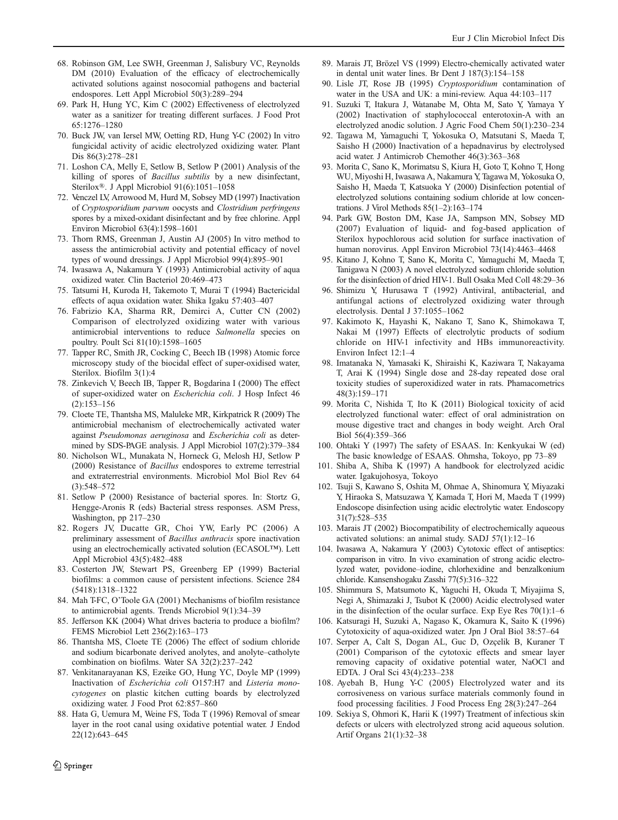- <span id="page-11-0"></span>68. Robinson GM, Lee SWH, Greenman J, Salisbury VC, Reynolds DM (2010) Evaluation of the efficacy of electrochemically activated solutions against nosocomial pathogens and bacterial endospores. Lett Appl Microbiol 50(3):289–294
- 69. Park H, Hung YC, Kim C (2002) Effectiveness of electrolyzed water as a sanitizer for treating different surfaces. J Food Prot 65:1276–1280
- 70. Buck JW, van Iersel MW, Oetting RD, Hung Y-C (2002) In vitro fungicidal activity of acidic electrolyzed oxidizing water. Plant Dis 86(3):278–281
- 71. Loshon CA, Melly E, Setlow B, Setlow P (2001) Analysis of the killing of spores of Bacillus subtilis by a new disinfectant, Sterilox®. J Appl Microbiol 91(6):1051–1058
- 72. Venczel LV, Arrowood M, Hurd M, Sobsey MD (1997) Inactivation of Cryptosporidium parvum oocysts and Clostridium perfringens spores by a mixed-oxidant disinfectant and by free chlorine. Appl Environ Microbiol 63(4):1598–1601
- 73. Thorn RMS, Greenman J, Austin AJ (2005) In vitro method to assess the antimicrobial activity and potential efficacy of novel types of wound dressings. J Appl Microbiol 99(4):895–901
- 74. Iwasawa A, Nakamura Y (1993) Antimicrobial activity of aqua oxidized water. Clin Bacteriol 20:469–473
- 75. Tatsumi H, Kuroda H, Takemoto T, Murai T (1994) Bactericidal effects of aqua oxidation water. Shika Igaku 57:403–407
- 76. Fabrizio KA, Sharma RR, Demirci A, Cutter CN (2002) Comparison of electrolyzed oxidizing water with various antimicrobial interventions to reduce Salmonella species on poultry. Poult Sci 81(10):1598–1605
- 77. Tapper RC, Smith JR, Cocking C, Beech IB (1998) Atomic force microscopy study of the biocidal effect of super-oxidised water, Sterilox. Biofilm 3(1):4
- 78. Zinkevich V, Beech IB, Tapper R, Bogdarina I (2000) The effect of super-oxidized water on Escherichia coli. J Hosp Infect 46 (2):153–156
- 79. Cloete TE, Thantsha MS, Maluleke MR, Kirkpatrick R (2009) The antimicrobial mechanism of electrochemically activated water against Pseudomonas aeruginosa and Escherichia coli as determined by SDS-PAGE analysis. J Appl Microbiol 107(2):379–384
- 80. Nicholson WL, Munakata N, Horneck G, Melosh HJ, Setlow P (2000) Resistance of Bacillus endospores to extreme terrestrial and extraterrestrial environments. Microbiol Mol Biol Rev 64 (3):548–572
- 81. Setlow P (2000) Resistance of bacterial spores. In: Stortz G, Hengge-Aronis R (eds) Bacterial stress responses. ASM Press, Washington, pp 217–230
- 82. Rogers JV, Ducatte GR, Choi YW, Early PC (2006) A preliminary assessment of Bacillus anthracis spore inactivation using an electrochemically activated solution (ECASOL™). Lett Appl Microbiol 43(5):482–488
- 83. Costerton JW, Stewart PS, Greenberg EP (1999) Bacterial biofilms: a common cause of persistent infections. Science 284 (5418):1318–1322
- 84. Mah T-FC, O'Toole GA (2001) Mechanisms of biofilm resistance to antimicrobial agents. Trends Microbiol 9(1):34–39
- 85. Jefferson KK (2004) What drives bacteria to produce a biofilm? FEMS Microbiol Lett 236(2):163–173
- 86. Thantsha MS, Cloete TE (2006) The effect of sodium chloride and sodium bicarbonate derived anolytes, and anolyte–catholyte combination on biofilms. Water SA 32(2):237–242
- 87. Venkitanarayanan KS, Ezeike GO, Hung YC, Doyle MP (1999) Inactivation of Escherichia coli O157:H7 and Listeria monocytogenes on plastic kitchen cutting boards by electrolyzed oxidizing water. J Food Prot 62:857–860
- 88. Hata G, Uemura M, Weine FS, Toda T (1996) Removal of smear layer in the root canal using oxidative potential water. J Endod 22(12):643–645
- 89. Marais JT, Brözel VS (1999) Electro-chemically activated water in dental unit water lines. Br Dent J 187(3):154–158
- 90. Lisle JT, Rose JB (1995) Cryptosporidium contamination of water in the USA and UK: a mini-review. Aqua 44:103–117
- 91. Suzuki T, Itakura J, Watanabe M, Ohta M, Sato Y, Yamaya Y (2002) Inactivation of staphylococcal enterotoxin-A with an electrolyzed anodic solution. J Agric Food Chem 50(1):230–234
- 92. Tagawa M, Yamaguchi T, Yokosuka O, Matsutani S, Maeda T, Saisho H (2000) Inactivation of a hepadnavirus by electrolysed acid water. J Antimicrob Chemother 46(3):363–368
- 93. Morita C, Sano K, Morimatsu S, Kiura H, Goto T, Kohno T, Hong WU, Miyoshi H, Iwasawa A, Nakamura Y, Tagawa M, Yokosuka O, Saisho H, Maeda T, Katsuoka Y (2000) Disinfection potential of electrolyzed solutions containing sodium chloride at low concentrations. J Virol Methods 85(1–2):163–174
- 94. Park GW, Boston DM, Kase JA, Sampson MN, Sobsey MD (2007) Evaluation of liquid- and fog-based application of Sterilox hypochlorous acid solution for surface inactivation of human norovirus. Appl Environ Microbiol 73(14):4463–4468
- 95. Kitano J, Kohno T, Sano K, Morita C, Yamaguchi M, Maeda T, Tanigawa N (2003) A novel electrolyzed sodium chloride solution for the disinfection of dried HIV-1. Bull Osaka Med Coll 48:29–36
- 96. Shimizu Y, Hurusawa T (1992) Antiviral, antibacterial, and antifungal actions of electrolyzed oxidizing water through electrolysis. Dental J 37:1055–1062
- 97. Kakimoto K, Hayashi K, Nakano T, Sano K, Shimokawa T, Nakai M (1997) Effects of electrolytic products of sodium chloride on HIV-1 infectivity and HBs immunoreactivity. Environ Infect 12:1–4
- 98. Imatanaka N, Yamasaki K, Shiraishi K, Kaziwara T, Nakayama T, Arai K (1994) Single dose and 28-day repeated dose oral toxicity studies of superoxidized water in rats. Phamacometrics 48(3):159–171
- 99. Morita C, Nishida T, Ito K (2011) Biological toxicity of acid electrolyzed functional water: effect of oral administration on mouse digestive tract and changes in body weight. Arch Oral Biol 56(4):359–366
- 100. Ohtaki Y (1997) The safety of ESAAS. In: Kenkyukai W (ed) The basic knowledge of ESAAS. Ohmsha, Tokoyo, pp 73–89
- 101. Shiba A, Shiba K (1997) A handbook for electrolyzed acidic water. Igakujohosya, Tokoyo
- 102. Tsuji S, Kawano S, Oshita M, Ohmae A, Shinomura Y, Miyazaki Y, Hiraoka S, Matsuzawa Y, Kamada T, Hori M, Maeda T (1999) Endoscope disinfection using acidic electrolytic water. Endoscopy 31(7):528–535
- 103. Marais JT (2002) Biocompatibility of electrochemically aqueous activated solutions: an animal study. SADJ 57(1):12–16
- 104. Iwasawa A, Nakamura Y (2003) Cytotoxic effect of antiseptics: comparison in vitro. In vivo examination of strong acidic electrolyzed water, povidone–iodine, chlorhexidine and benzalkonium chloride. Kansenshogaku Zasshi 77(5):316–322
- 105. Shimmura S, Matsumoto K, Yaguchi H, Okuda T, Miyajima S, Negi A, Shimazaki J, Tsubot K (2000) Acidic electrolysed water in the disinfection of the ocular surface. Exp Eye Res 70(1):1–6
- 106. Katsuragi H, Suzuki A, Nagaso K, Okamura K, Saito K (1996) Cytotoxicity of aqua-oxidized water. Jpn J Oral Biol 38:57–64
- 107. Serper A, Calt S, Dogan AL, Guc D, Ozçelik B, Kuraner T (2001) Comparison of the cytotoxic effects and smear layer removing capacity of oxidative potential water, NaOCl and EDTA. J Oral Sci 43(4):233–238
- 108. Ayebah B, Hung Y-C (2005) Electrolyzed water and its corrosiveness on various surface materials commonly found in food processing facilities. J Food Process Eng 28(3):247–264
- 109. Sekiya S, Ohmori K, Harii K (1997) Treatment of infectious skin defects or ulcers with electrolyzed strong acid aqueous solution. Artif Organs 21(1):32–38